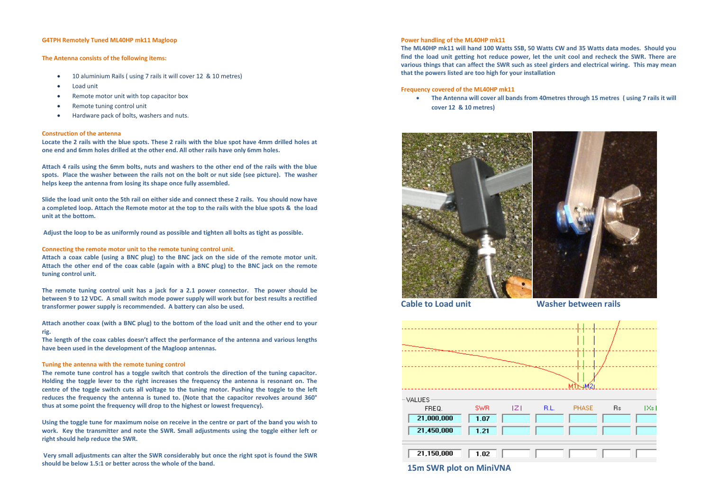#### **G4TPH Remotely Tuned ML40HP mk11 Magloop**

## **The Antenna consists of the following items:**

- 10 aluminium Rails ( using 7 rails it will cover 12 & 10 metres)
- Load unit
- Remote motor unit with top capacitor box
- Remote tuning control unit
- Hardware pack of bolts, washers and nuts.

### **Construction of the antenna**

**Locate the 2 rails with the blue spots. These 2 rails with the blue spot have 4mm drilled holes at one end and 6mm holes drilled at the other end. All other rails have only 6mm holes.** 

**Attach 4 rails using the 6mm bolts, nuts and washers to the other end of the rails with the blue spots. Place the washer between the rails not on the bolt or nut side (see picture). The washer helps keep the antenna from losing its shape once fully assembled.** 

**Slide the load unit onto the 5th rail on either side and connect these 2 rails. You should now have a completed loop. Attach the Remote motor at the top to the rails with the blue spots & the load unit at the bottom.** 

**Adjust the loop to be as uniformly round as possible and tighten all bolts as tight as possible.**

#### **Connecting the remote motor unit to the remote tuning control unit.**

**Attach a coax cable (using a BNC plug) to the BNC jack on the side of the remote motor unit. Attach the other end of the coax cable (again with a BNC plug) to the BNC jack on the remote tuning control unit.**

**The remote tuning control unit has a jack for a 2.1 power connector. The power should be between 9 to 12 VDC. A small switch mode power supply will work but for best results a rectified transformer power supply is recommended. A battery can also be used.**

**Attach another coax (with a BNC plug) to the bottom of the load unit and the other end to your rig.**

**The length of the coax cables doesn't affect the performance of the antenna and various lengths have been used in the development of the Magloop antennas.** 

#### **Tuning the antenna with the remote tuning control**

**The remote tune control has a toggle switch that controls the direction of the tuning capacitor. Holding the toggle lever to the right increases the frequency the antenna is resonant on. The centre of the toggle switch cuts all voltage to the tuning motor. Pushing the toggle to the left reduces the frequency the antenna is tuned to. (Note that the capacitor revolves around 360° thus at some point the frequency will drop to the highest or lowest frequency).**

**Using the toggle tune for maximum noise on receive in the centre or part of the band you wish to work. Key the transmitter and note the SWR. Small adjustments using the toggle either left or right should help reduce the SWR.** 

**Very small adjustments can alter the SWR considerably but once the right spot is found the SWR should be below 1.5:1 or better across the whole of the band.** 

# **Power handling of the ML40HP mk11**

**The ML40HP mk11 will hand 100 Watts SSB, 50 Watts CW and 35 Watts data modes. Should you find the load unit getting hot reduce power, let the unit cool and recheck the SWR. There are various things that can affect the SWR such as steel girders and electrical wiring. This may mean that the powers listed are too high for your installation**

# **Frequency covered of the ML40HP mk11**

 **The Antenna will cover all bands from 40metres through 15 metres ( using 7 rails it will cover 12 & 10 metres)**



**Cable to Load unit Cable Washer between rails**